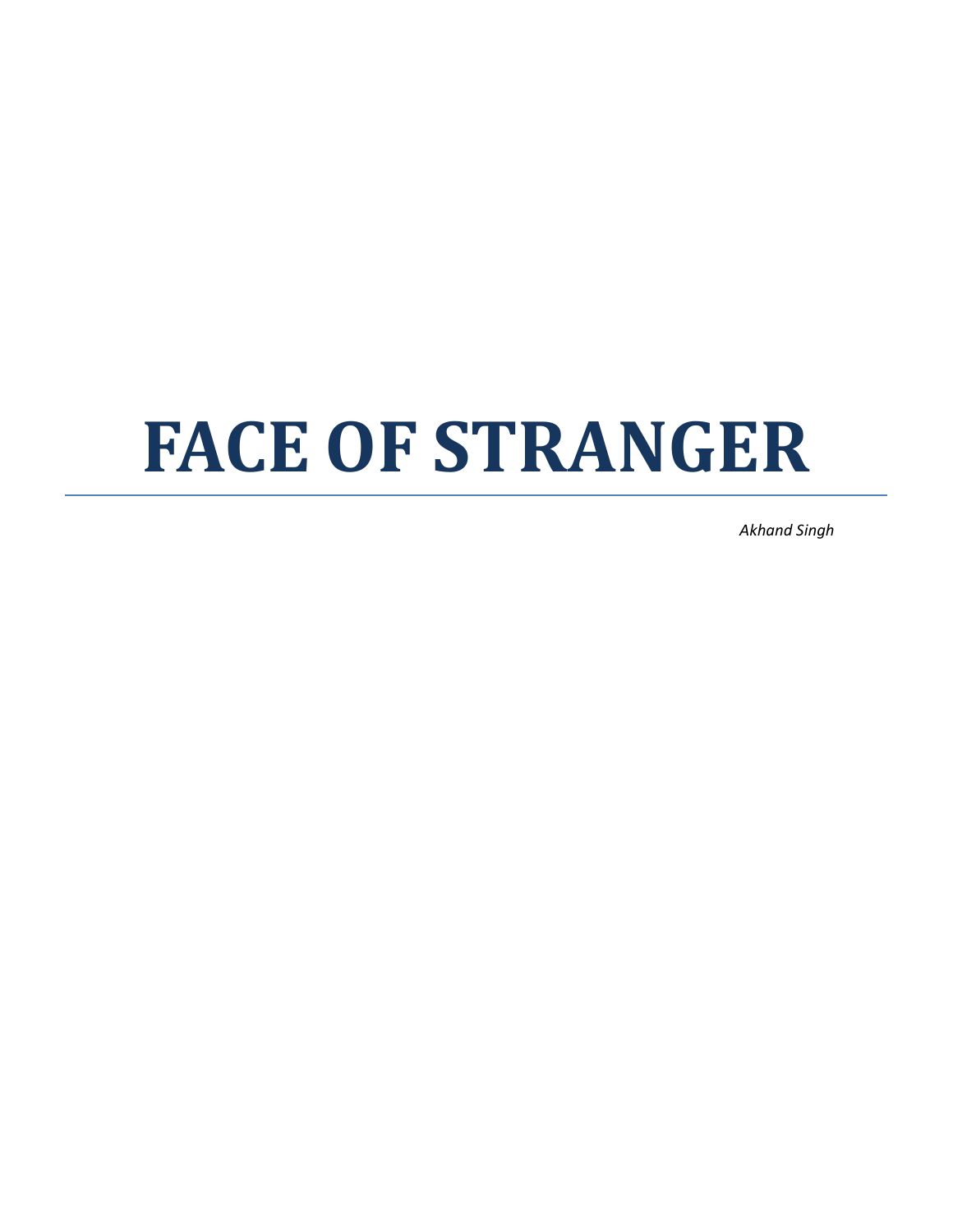# **FACE OF STRANGER**

*Akhand Singh*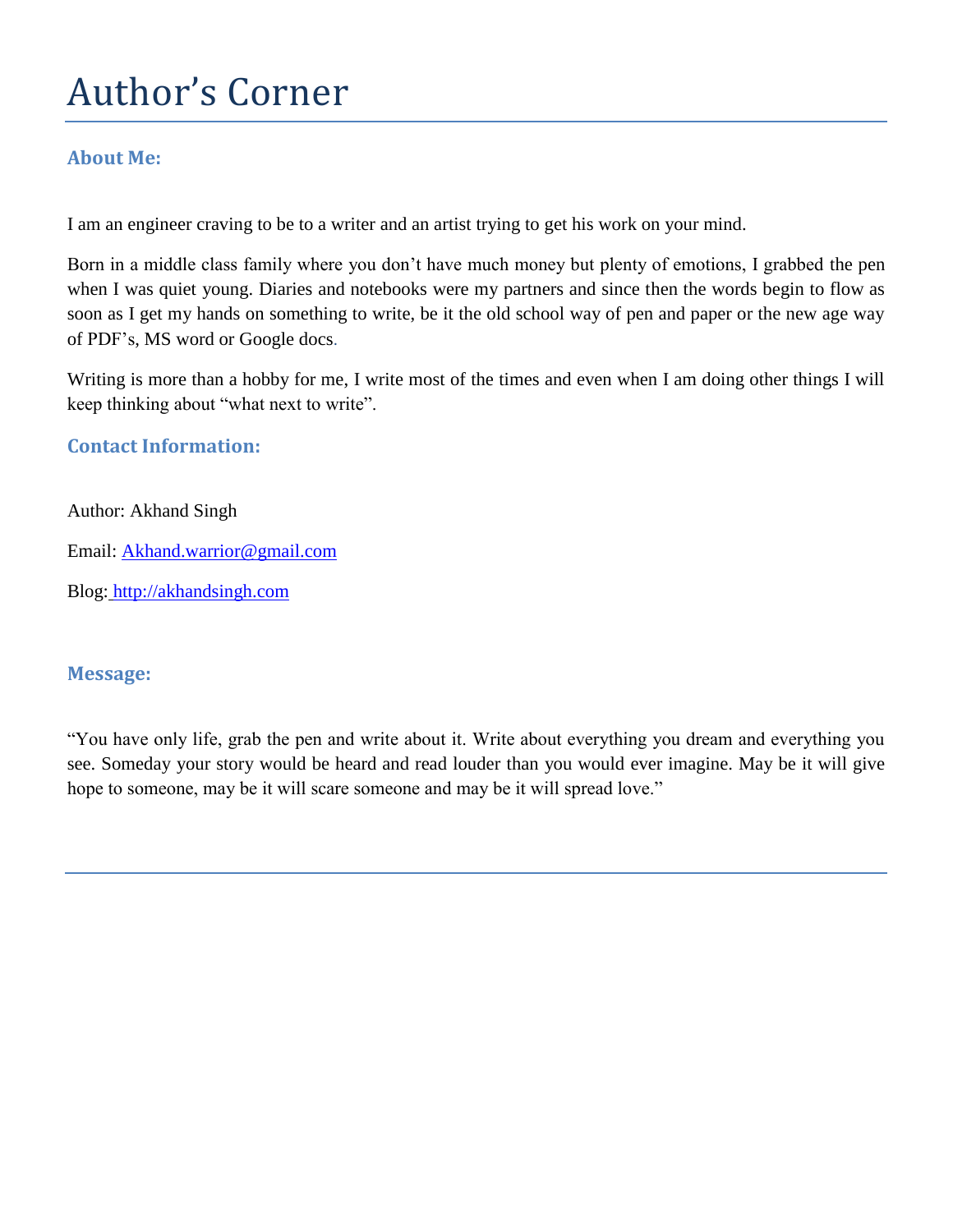# Author's Corner

#### **About Me:**

I am an engineer craving to be to a writer and an artist trying to get his work on your mind.

Born in a middle class family where you don't have much money but plenty of emotions, I grabbed the pen when I was quiet young. Diaries and notebooks were my partners and since then the words begin to flow as soon as I get my hands on something to write, be it the old school way of pen and paper or the new age way of PDF's, MS word or Google docs.

Writing is more than a hobby for me, I write most of the times and even when I am doing other things I will keep thinking about "what next to write".

#### **Contact Information:**

#### Author: Akhand Singh

Email: [Akhand.warrior@gmail.com](mailto:Akhand.warrior@gmail.com)

Blog: [http://akhandsingh.com](http://akhandsingh.com/)

#### **Message:**

"You have only life, grab the pen and write about it. Write about everything you dream and everything you see. Someday your story would be heard and read louder than you would ever imagine. May be it will give hope to someone, may be it will scare someone and may be it will spread love."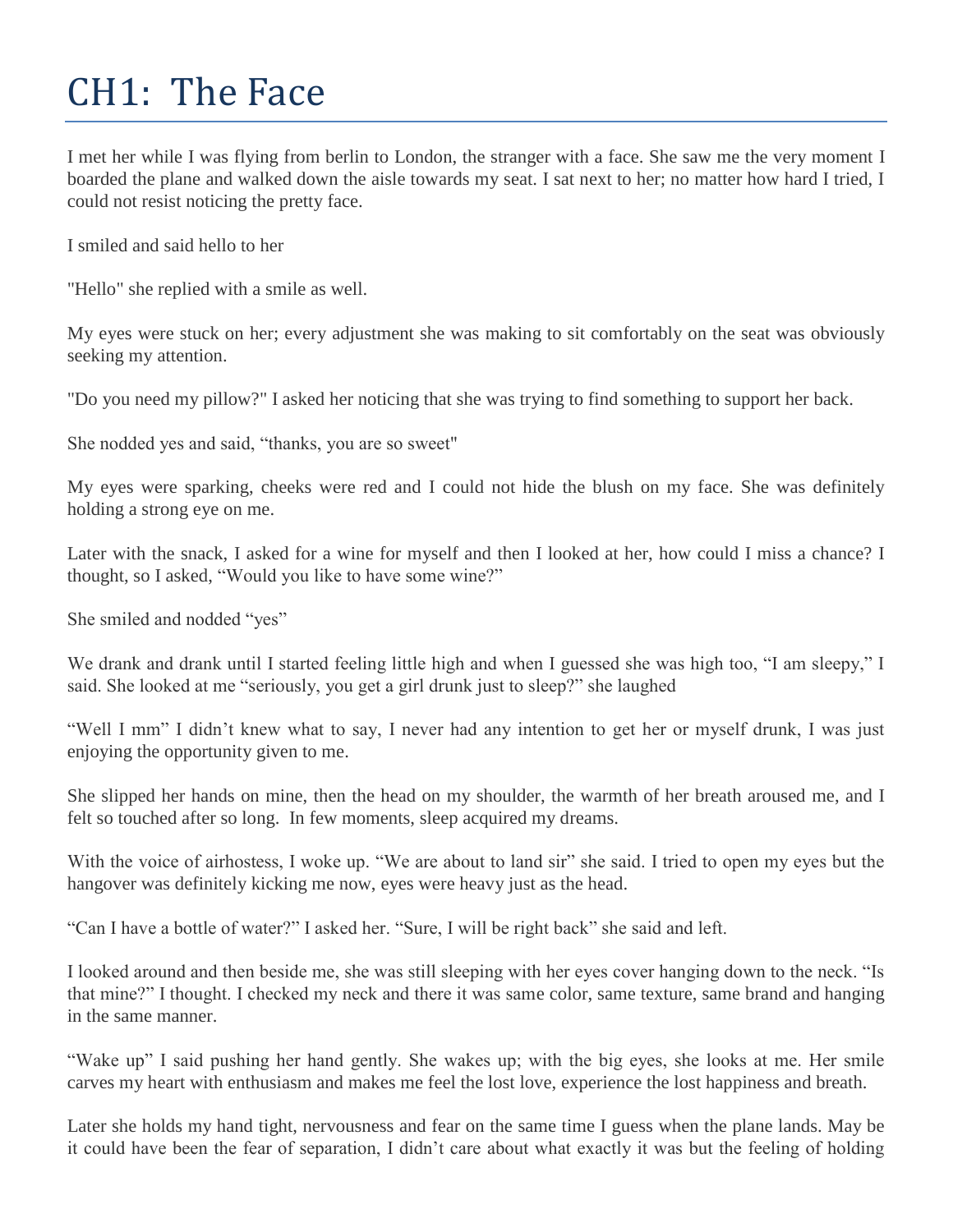# CH1: The Face

I met her while I was flying from berlin to London, the stranger with a face. She saw me the very moment I boarded the plane and walked down the aisle towards my seat. I sat next to her; no matter how hard I tried, I could not resist noticing the pretty face.

I smiled and said hello to her

"Hello" she replied with a smile as well.

My eyes were stuck on her; every adjustment she was making to sit comfortably on the seat was obviously seeking my attention.

"Do you need my pillow?" I asked her noticing that she was trying to find something to support her back.

She nodded yes and said, "thanks, you are so sweet"

My eyes were sparking, cheeks were red and I could not hide the blush on my face. She was definitely holding a strong eye on me.

Later with the snack, I asked for a wine for myself and then I looked at her, how could I miss a chance? I thought, so I asked, "Would you like to have some wine?"

She smiled and nodded "yes"

We drank and drank until I started feeling little high and when I guessed she was high too, "I am sleepy," I said. She looked at me "seriously, you get a girl drunk just to sleep?" she laughed

"Well I mm" I didn't knew what to say, I never had any intention to get her or myself drunk, I was just enjoying the opportunity given to me.

She slipped her hands on mine, then the head on my shoulder, the warmth of her breath aroused me, and I felt so touched after so long. In few moments, sleep acquired my dreams.

With the voice of airhostess, I woke up. "We are about to land sir" she said. I tried to open my eyes but the hangover was definitely kicking me now, eyes were heavy just as the head.

"Can I have a bottle of water?" I asked her. "Sure, I will be right back" she said and left.

I looked around and then beside me, she was still sleeping with her eyes cover hanging down to the neck. "Is that mine?" I thought. I checked my neck and there it was same color, same texture, same brand and hanging in the same manner.

"Wake up" I said pushing her hand gently. She wakes up; with the big eyes, she looks at me. Her smile carves my heart with enthusiasm and makes me feel the lost love, experience the lost happiness and breath.

Later she holds my hand tight, nervousness and fear on the same time I guess when the plane lands. May be it could have been the fear of separation, I didn't care about what exactly it was but the feeling of holding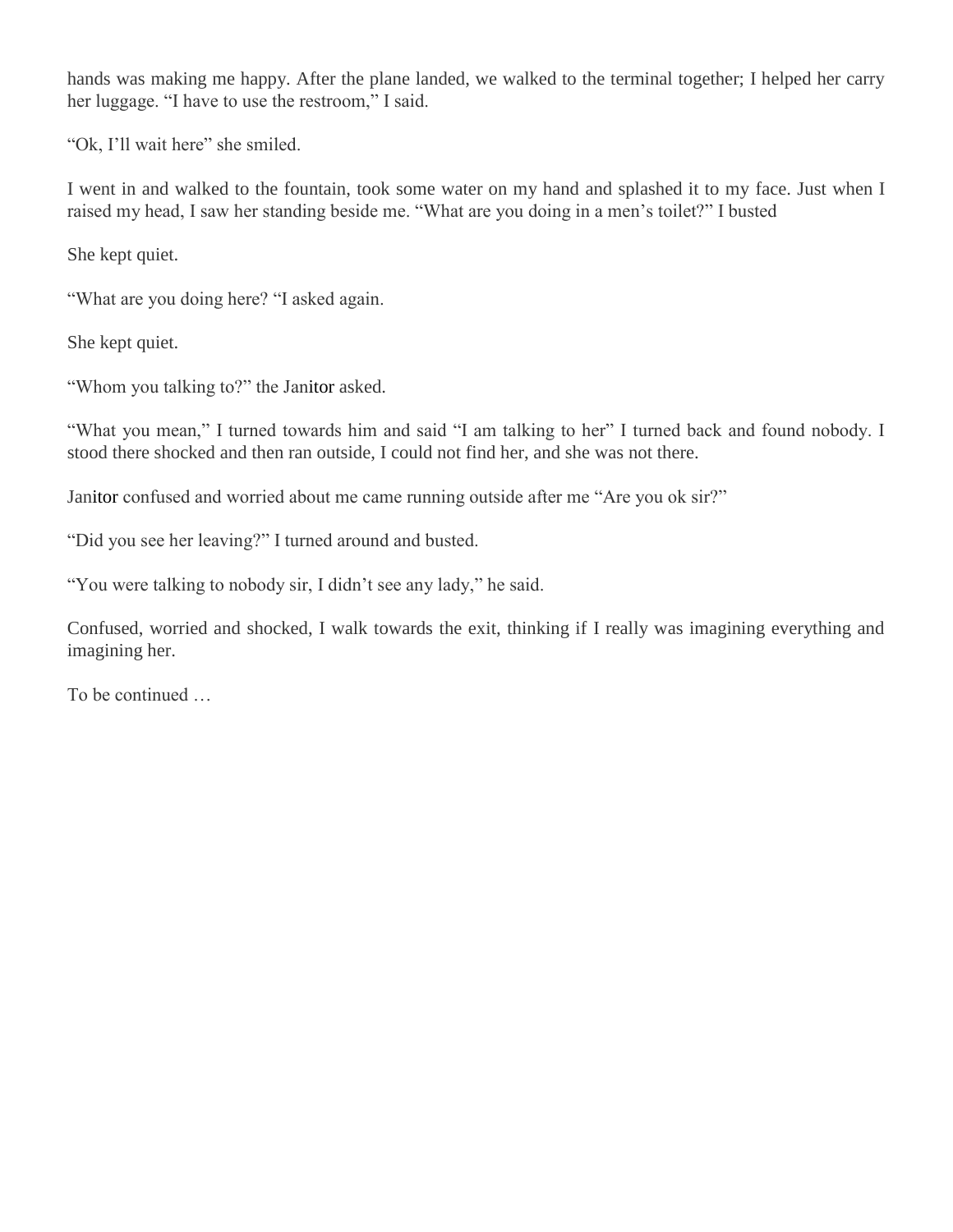hands was making me happy. After the plane landed, we walked to the terminal together; I helped her carry her luggage. "I have to use the restroom," I said.

"Ok, I'll wait here" she smiled.

I went in and walked to the fountain, took some water on my hand and splashed it to my face. Just when I raised my head, I saw her standing beside me. "What are you doing in a men's toilet?" I busted

She kept quiet.

"What are you doing here? "I asked again.

She kept quiet.

"Whom you talking to?" the Janitor asked.

"What you mean," I turned towards him and said "I am talking to her" I turned back and found nobody. I stood there shocked and then ran outside, I could not find her, and she was not there.

Janitor confused and worried about me came running outside after me "Are you ok sir?"

"Did you see her leaving?" I turned around and busted.

"You were talking to nobody sir, I didn't see any lady," he said.

Confused, worried and shocked, I walk towards the exit, thinking if I really was imagining everything and imagining her.

To be continued …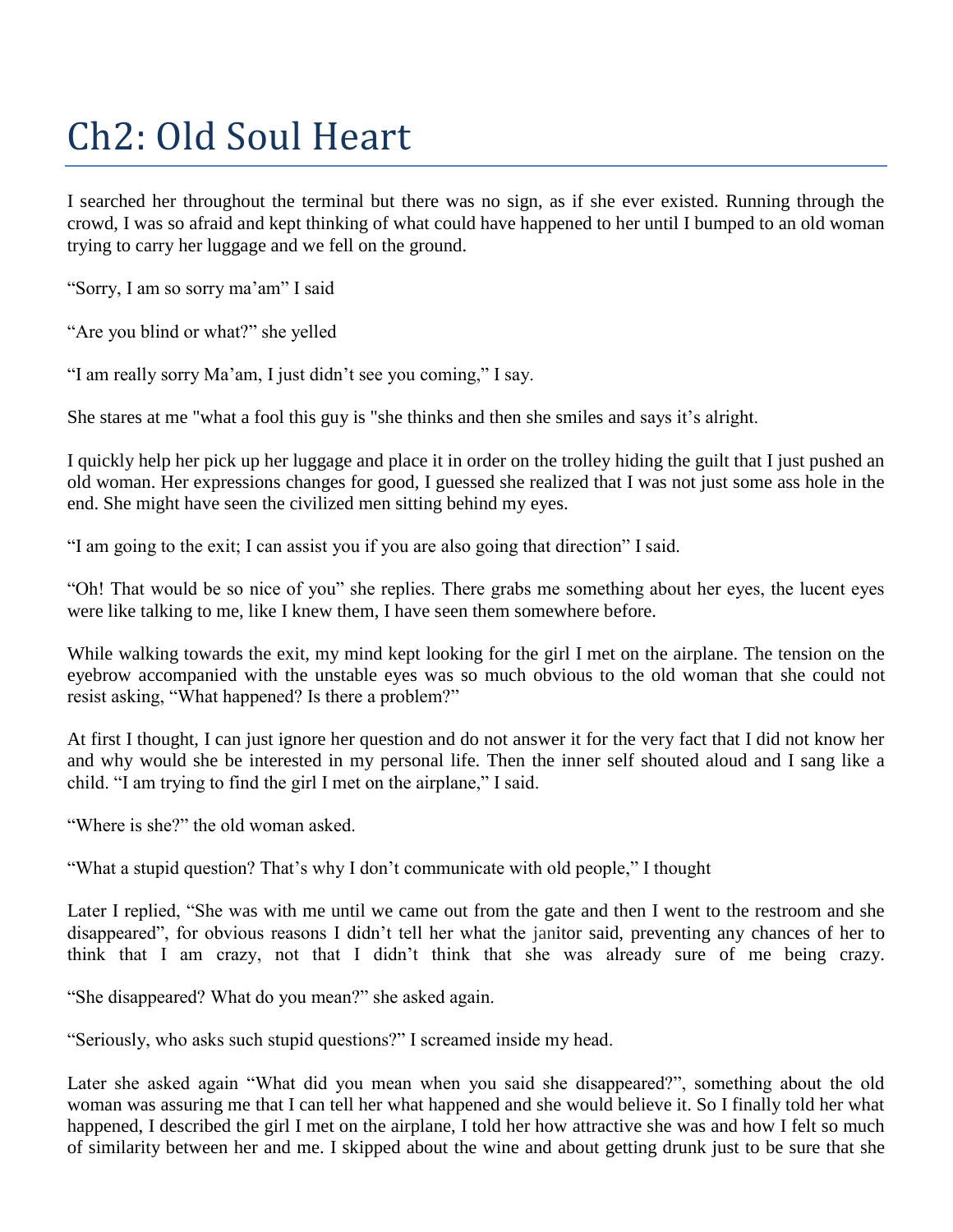## Ch2: Old Soul Heart

I searched her throughout the terminal but there was no sign, as if she ever existed. Running through the crowd, I was so afraid and kept thinking of what could have happened to her until I bumped to an old woman trying to carry her luggage and we fell on the ground.

"Sorry, I am so sorry ma'am" I said

"Are you blind or what?" she yelled

"I am really sorry Ma'am, I just didn't see you coming," I say.

She stares at me "what a fool this guy is "she thinks and then she smiles and says it's alright.

I quickly help her pick up her luggage and place it in order on the trolley hiding the guilt that I just pushed an old woman. Her expressions changes for good, I guessed she realized that I was not just some ass hole in the end. She might have seen the civilized men sitting behind my eyes.

"I am going to the exit; I can assist you if you are also going that direction" I said.

"Oh! That would be so nice of you" she replies. There grabs me something about her eyes, the lucent eyes were like talking to me, like I knew them, I have seen them somewhere before.

While walking towards the exit, my mind kept looking for the girl I met on the airplane. The tension on the eyebrow accompanied with the unstable eyes was so much obvious to the old woman that she could not resist asking, "What happened? Is there a problem?"

At first I thought, I can just ignore her question and do not answer it for the very fact that I did not know her and why would she be interested in my personal life. Then the inner self shouted aloud and I sang like a child. "I am trying to find the girl I met on the airplane," I said.

"Where is she?" the old woman asked.

"What a stupid question? That's why I don't communicate with old people," I thought

Later I replied, "She was with me until we came out from the gate and then I went to the restroom and she disappeared", for obvious reasons I didn't tell her what the janitor said, preventing any chances of her to think that I am crazy, not that I didn't think that she was already sure of me being crazy.

"She disappeared? What do you mean?" she asked again.

"Seriously, who asks such stupid questions?" I screamed inside my head.

Later she asked again "What did you mean when you said she disappeared?", something about the old woman was assuring me that I can tell her what happened and she would believe it. So I finally told her what happened, I described the girl I met on the airplane, I told her how attractive she was and how I felt so much of similarity between her and me. I skipped about the wine and about getting drunk just to be sure that she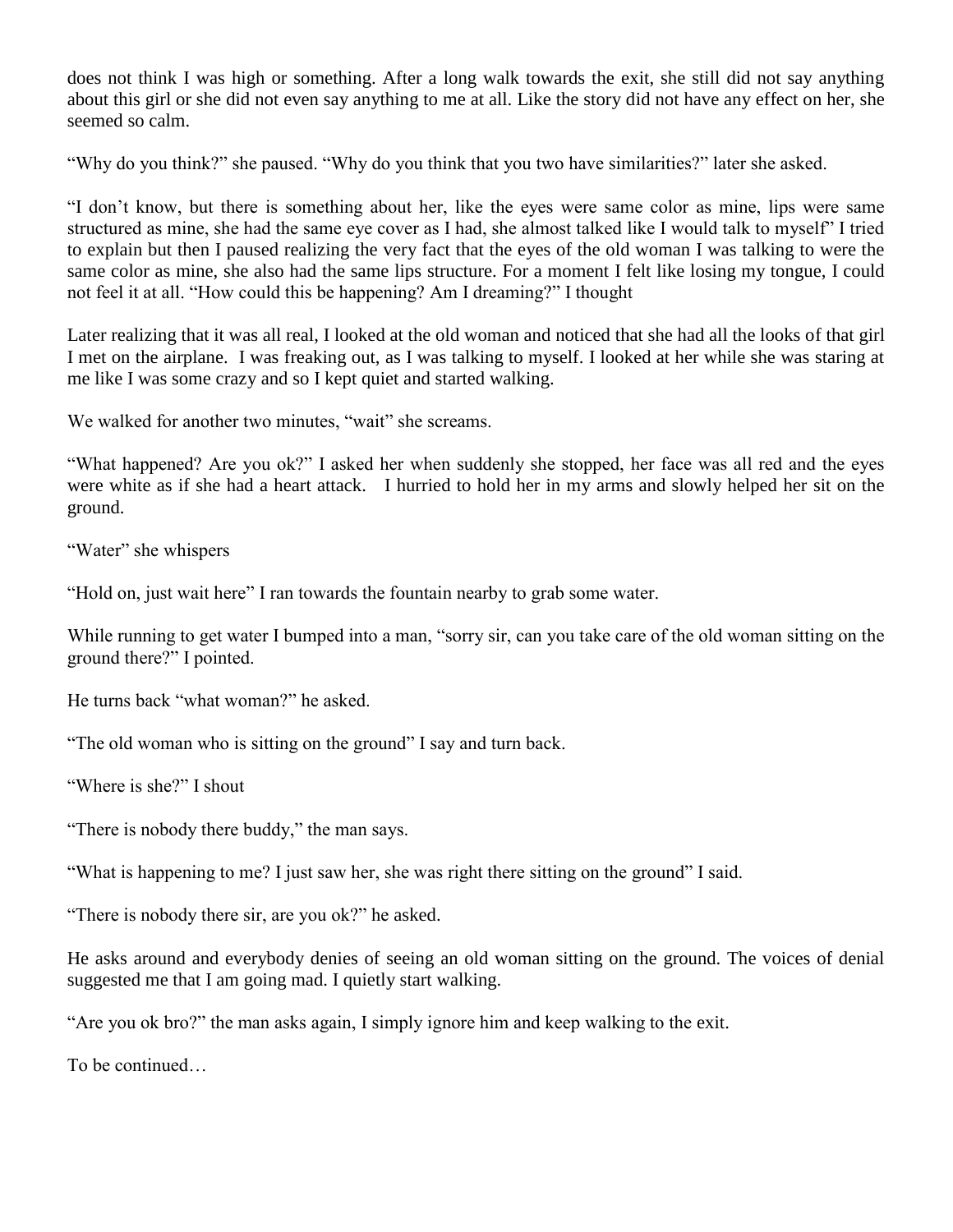does not think I was high or something. After a long walk towards the exit, she still did not say anything about this girl or she did not even say anything to me at all. Like the story did not have any effect on her, she seemed so calm.

"Why do you think?" she paused. "Why do you think that you two have similarities?" later she asked.

"I don't know, but there is something about her, like the eyes were same color as mine, lips were same structured as mine, she had the same eye cover as I had, she almost talked like I would talk to myself" I tried to explain but then I paused realizing the very fact that the eyes of the old woman I was talking to were the same color as mine, she also had the same lips structure. For a moment I felt like losing my tongue, I could not feel it at all. "How could this be happening? Am I dreaming?" I thought

Later realizing that it was all real, I looked at the old woman and noticed that she had all the looks of that girl I met on the airplane. I was freaking out, as I was talking to myself. I looked at her while she was staring at me like I was some crazy and so I kept quiet and started walking.

We walked for another two minutes, "wait" she screams.

"What happened? Are you ok?" I asked her when suddenly she stopped, her face was all red and the eyes were white as if she had a heart attack. I hurried to hold her in my arms and slowly helped her sit on the ground.

"Water" she whispers

"Hold on, just wait here" I ran towards the fountain nearby to grab some water.

While running to get water I bumped into a man, "sorry sir, can you take care of the old woman sitting on the ground there?" I pointed.

He turns back "what woman?" he asked.

"The old woman who is sitting on the ground" I say and turn back.

"Where is she?" I shout

"There is nobody there buddy," the man says.

"What is happening to me? I just saw her, she was right there sitting on the ground" I said.

"There is nobody there sir, are you ok?" he asked.

He asks around and everybody denies of seeing an old woman sitting on the ground. The voices of denial suggested me that I am going mad. I quietly start walking.

"Are you ok bro?" the man asks again, I simply ignore him and keep walking to the exit.

To be continued…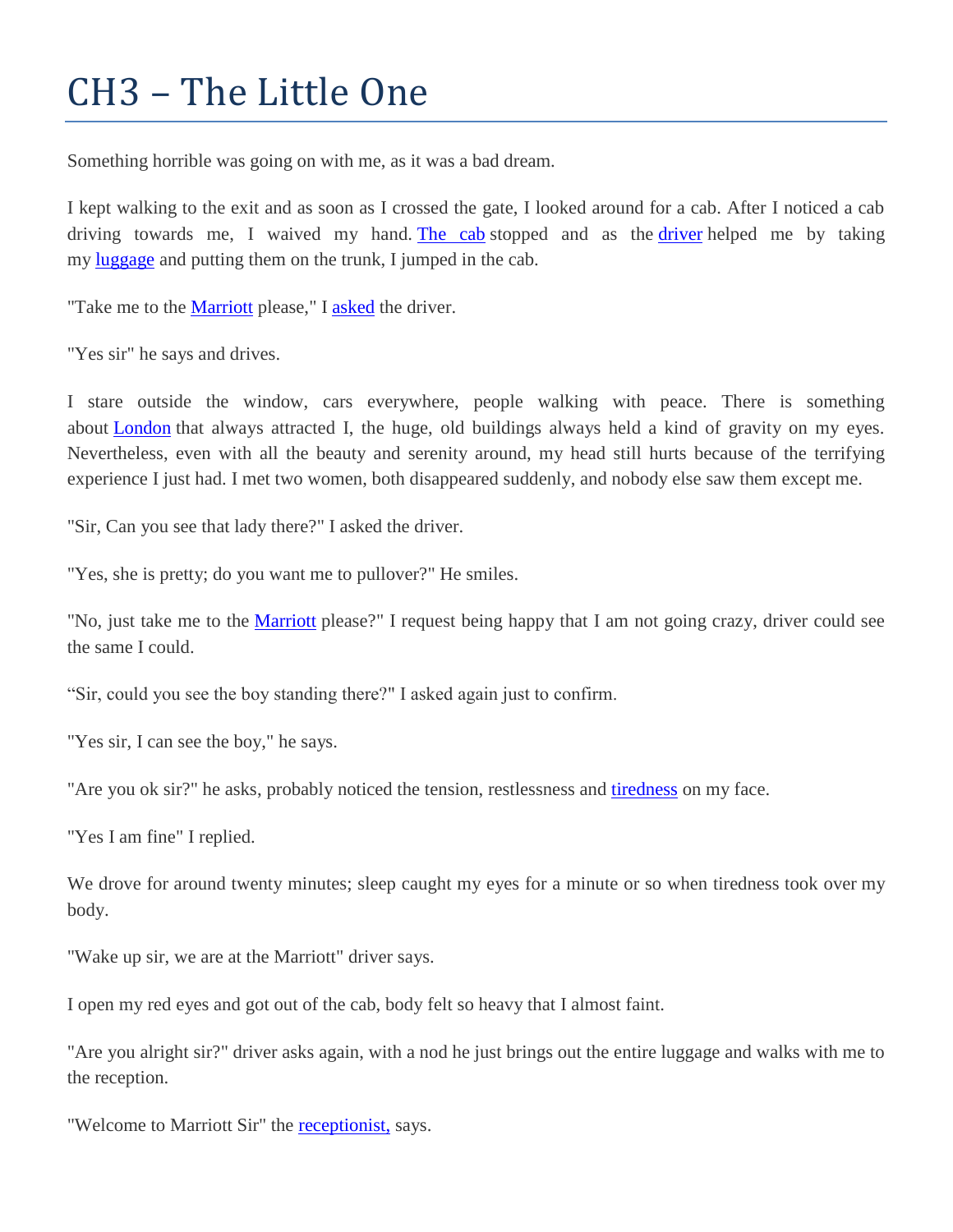### CH3 – The Little One

Something horrible was going on with me, as it was a bad dream.

I kept walking to the exit and as soon as I crossed the gate, I looked around for a cab. After I noticed a cab driving towards me, I waived my hand. [The cab](http://www.thecabrock.com/) stopped and as the [driver](http://en.wikipedia.org/wiki/Taxi_Driver_%28song%29) helped me by taking my [luggage](http://en.wikipedia.org/wiki/Baggage) and putting them on the trunk, I jumped in the cab.

"Take me to the [Marriott](http://www.marriott.com/) please," I [asked](http://en.wikipedia.org/wiki/Question) the driver.

"Yes sir" he says and drives.

I stare outside the window, cars everywhere, people walking with peace. There is something about **[London](http://maps.google.com/maps?ll=51.5072222222,-0.1275&spn=0.1,0.1&q=51.5072222222,-0.1275%20(London)&t=h)** that always attracted I, the huge, old buildings always held a kind of gravity on my eyes. Nevertheless, even with all the beauty and serenity around, my head still hurts because of the terrifying experience I just had. I met two women, both disappeared suddenly, and nobody else saw them except me.

"Sir, Can you see that lady there?" I asked the driver.

"Yes, she is pretty; do you want me to pullover?" He smiles.

"No, just take me to the [Marriott](http://en.wikipedia.org/wiki/Marriott_International) please?" I request being happy that I am not going crazy, driver could see the same I could.

"Sir, could you see the boy standing there?" I asked again just to confirm.

"Yes sir, I can see the boy," he says.

"Are you ok sir?" he asks, probably noticed the tension, restlessness and [tiredness](http://en.wikipedia.org/wiki/Fatigue_%28medical%29) on my face.

"Yes I am fine" I replied.

We drove for around twenty minutes; sleep caught my eyes for a minute or so when tiredness took over my body.

"Wake up sir, we are at the Marriott" driver says.

I open my red eyes and got out of the cab, body felt so heavy that I almost faint.

"Are you alright sir?" driver asks again, with a nod he just brings out the entire luggage and walks with me to the reception.

"Welcome to Marriott Sir" the [receptionist,](http://en.wikipedia.org/wiki/Receptionist) says.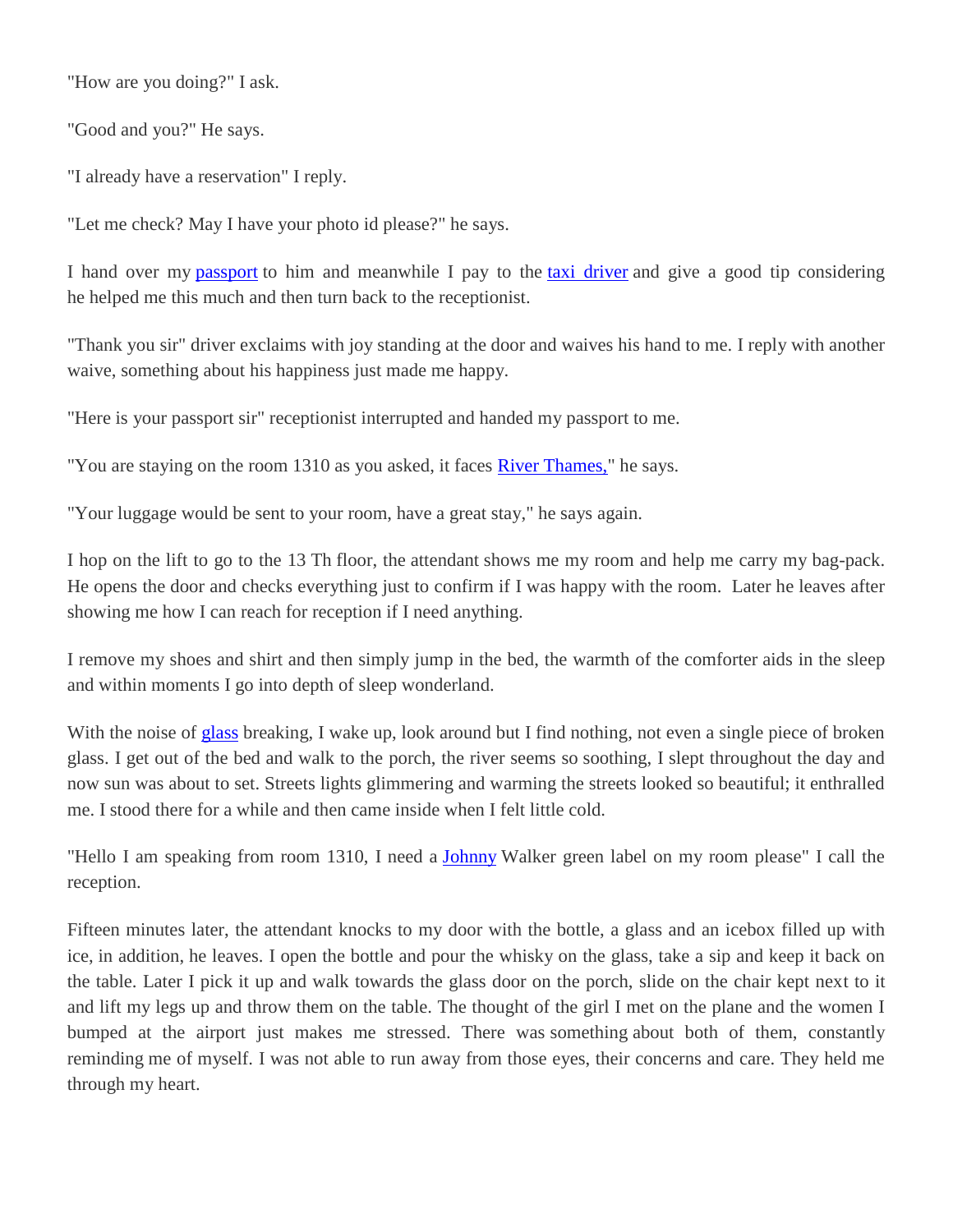"How are you doing?" I ask.

"Good and you?" He says.

"I already have a reservation" I reply.

"Let me check? May I have your photo id please?" he says.

I hand over my [passport](http://en.wikipedia.org/wiki/Passport) to him and meanwhile I pay to the [taxi driver](http://www.rottentomatoes.com/m/taxi_driver) and give a good tip considering he helped me this much and then turn back to the receptionist.

"Thank you sir" driver exclaims with joy standing at the door and waives his hand to me. I reply with another waive, something about his happiness just made me happy.

"Here is your passport sir" receptionist interrupted and handed my passport to me.

"You are staying on the room 1310 as you asked, it faces [River Thames,"](http://maps.google.com/maps?ll=51.4989,0.6087&spn=0.1,0.1&q=51.4989,0.6087%20(River%20Thames)&t=h) he says.

"Your luggage would be sent to your room, have a great stay," he says again.

I hop on the lift to go to the 13 Th floor, the attendant shows me my room and help me carry my bag-pack. He opens the door and checks everything just to confirm if I was happy with the room. Later he leaves after showing me how I can reach for reception if I need anything.

I remove my shoes and shirt and then simply jump in the bed, the warmth of the comforter aids in the sleep and within moments I go into depth of sleep wonderland.

With the noise of **[glass](http://en.wikipedia.org/wiki/Glass)** breaking, I wake up, look around but I find nothing, not even a single piece of broken glass. I get out of the bed and walk to the porch, the river seems so soothing, I slept throughout the day and now sun was about to set. Streets lights glimmering and warming the streets looked so beautiful; it enthralled me. I stood there for a while and then came inside when I felt little cold.

"Hello I am speaking from room 1310, I need a [Johnny](http://en.wikipedia.org/wiki/Johnie) Walker green label on my room please" I call the reception.

Fifteen minutes later, the attendant knocks to my door with the bottle, a glass and an icebox filled up with ice, in addition, he leaves. I open the bottle and pour the whisky on the glass, take a sip and keep it back on the table. Later I pick it up and walk towards the glass door on the porch, slide on the chair kept next to it and lift my legs up and throw them on the table. The thought of the girl I met on the plane and the women I bumped at the airport just makes me stressed. There was something about both of them, constantly reminding me of myself. I was not able to run away from those eyes, their concerns and care. They held me through my heart.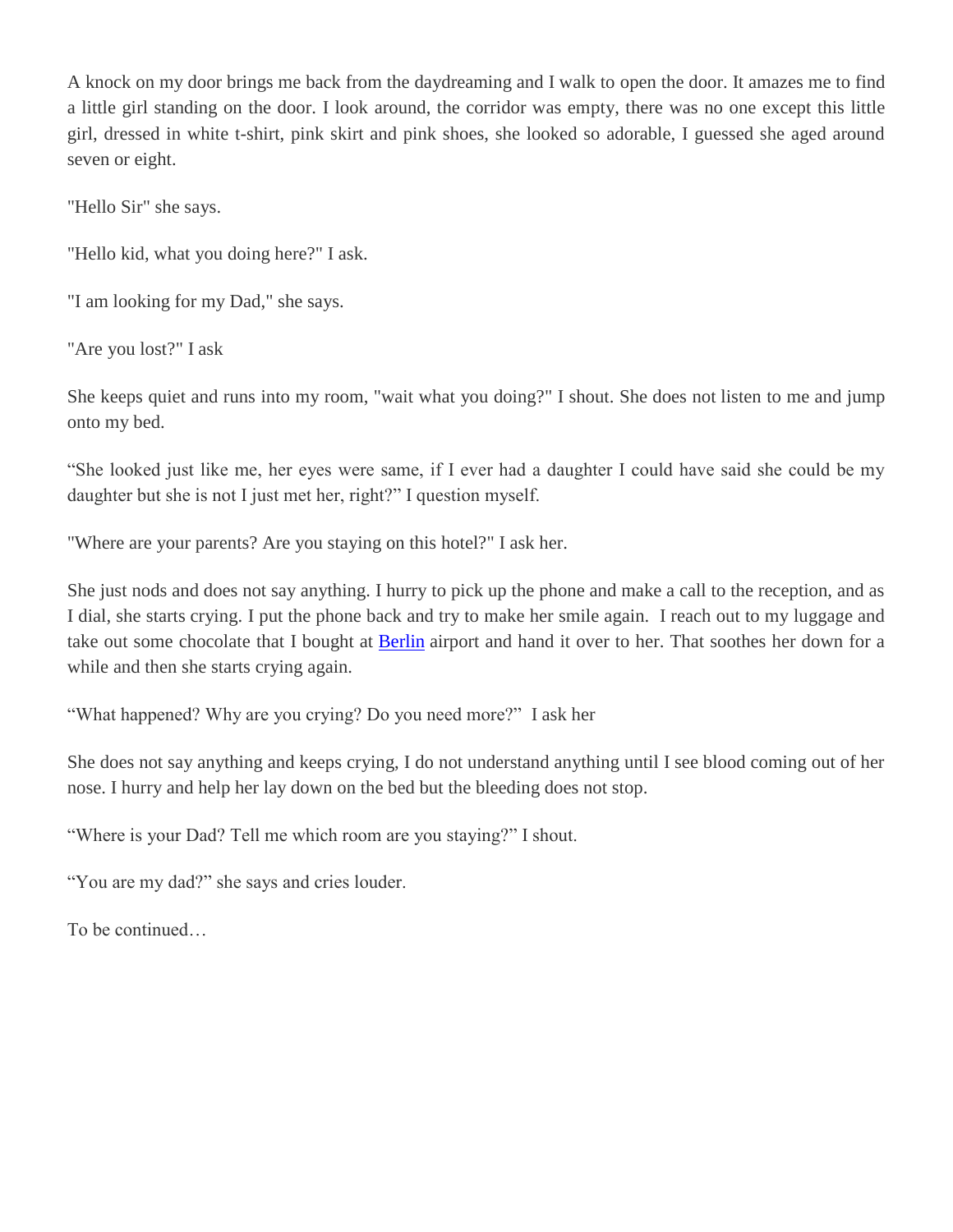A knock on my door brings me back from the daydreaming and I walk to open the door. It amazes me to find a little girl standing on the door. I look around, the corridor was empty, there was no one except this little girl, dressed in white t-shirt, pink skirt and pink shoes, she looked so adorable, I guessed she aged around seven or eight.

"Hello Sir" she says.

"Hello kid, what you doing here?" I ask.

"I am looking for my Dad," she says.

"Are you lost?" I ask

She keeps quiet and runs into my room, "wait what you doing?" I shout. She does not listen to me and jump onto my bed.

"She looked just like me, her eyes were same, if I ever had a daughter I could have said she could be my daughter but she is not I just met her, right?" I question myself.

"Where are your parents? Are you staying on this hotel?" I ask her.

She just nods and does not say anything. I hurry to pick up the phone and make a call to the reception, and as I dial, she starts crying. I put the phone back and try to make her smile again. I reach out to my luggage and take out some chocolate that I bought at [Berlin](http://en.wikipedia.org/wiki/Berlin) airport and hand it over to her. That soothes her down for a while and then she starts crying again.

"What happened? Why are you crying? Do you need more?" I ask her

She does not say anything and keeps crying, I do not understand anything until I see blood coming out of her nose. I hurry and help her lay down on the bed but the bleeding does not stop.

"Where is your Dad? Tell me which room are you staying?" I shout.

"You are my dad?" she says and cries louder.

To be continued…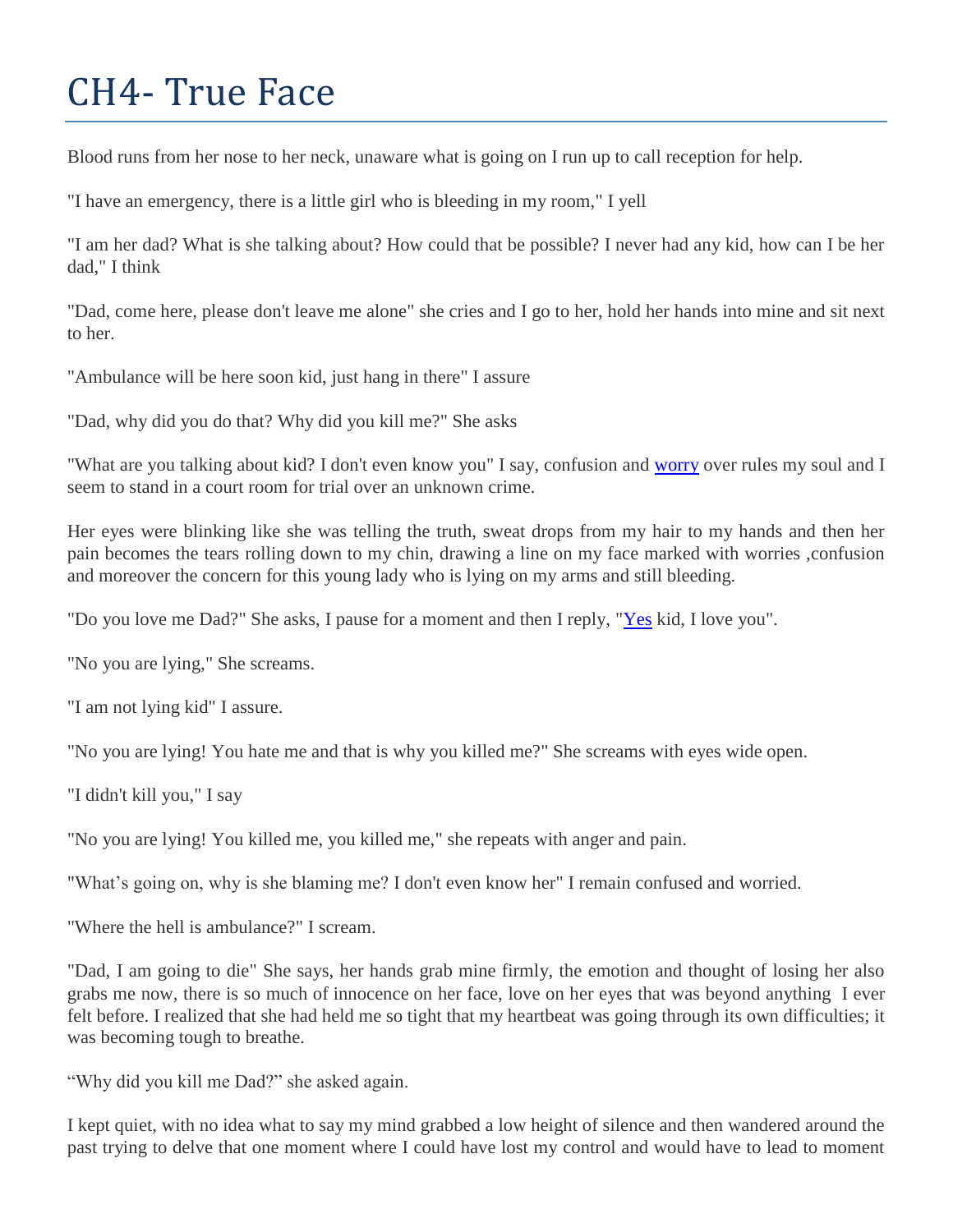## CH4- True Face

Blood runs from her nose to her neck, unaware what is going on I run up to call reception for help.

"I have an emergency, there is a little girl who is bleeding in my room," I yell

"I am her dad? What is she talking about? How could that be possible? I never had any kid, how can I be her dad," I think

"Dad, come here, please don't leave me alone" she cries and I go to her, hold her hands into mine and sit next to her.

"Ambulance will be here soon kid, just hang in there" I assure

"Dad, why did you do that? Why did you kill me?" She asks

"What are you talking about kid? I don't even know you" I say, confusion and [worry](http://en.wikipedia.org/wiki/Worry) over rules my soul and I seem to stand in a court room for trial over an unknown crime.

Her eyes were blinking like she was telling the truth, sweat drops from my hair to my hands and then her pain becomes the tears rolling down to my chin, drawing a line on my face marked with worries ,confusion and moreover the concern for this young lady who is lying on my arms and still bleeding.

"Do you love me Dad?" She asks, I pause for a moment and then I reply, ["Yes](http://www.yesworld.com/) kid, I love you".

"No you are lying," She screams.

"I am not lying kid" I assure.

"No you are lying! You hate me and that is why you killed me?" She screams with eyes wide open.

"I didn't kill you," I say

"No you are lying! You killed me, you killed me," she repeats with anger and pain.

"What's going on, why is she blaming me? I don't even know her" I remain confused and worried.

"Where the hell is ambulance?" I scream.

"Dad, I am going to die" She says, her hands grab mine firmly, the emotion and thought of losing her also grabs me now, there is so much of innocence on her face, love on her eyes that was beyond anything I ever felt before. I realized that she had held me so tight that my heartbeat was going through its own difficulties; it was becoming tough to breathe.

"Why did you kill me Dad?" she asked again.

I kept quiet, with no idea what to say my mind grabbed a low height of silence and then wandered around the past trying to delve that one moment where I could have lost my control and would have to lead to moment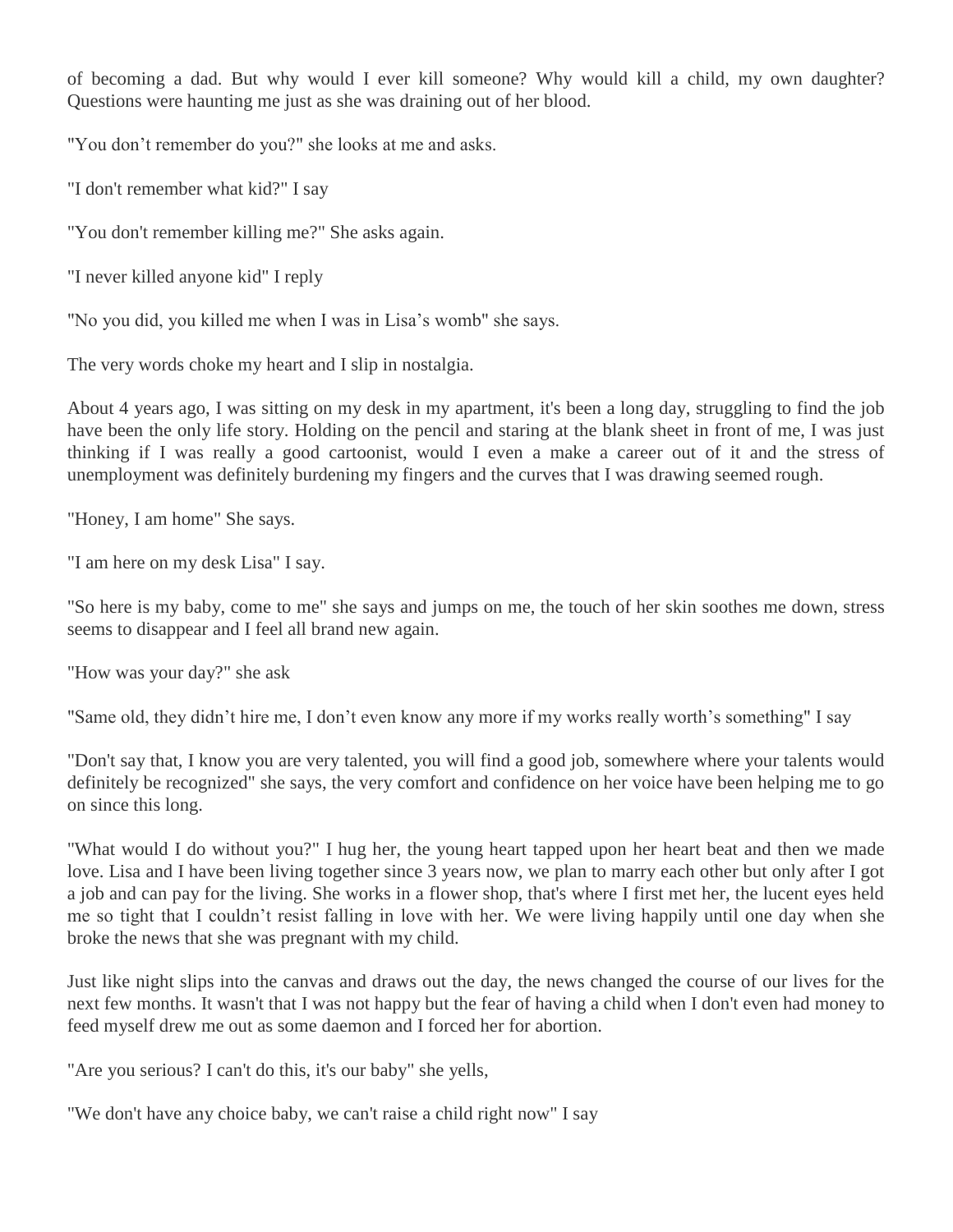of becoming a dad. But why would I ever kill someone? Why would kill a child, my own daughter? Questions were haunting me just as she was draining out of her blood.

"You don't remember do you?" she looks at me and asks.

"I don't remember what kid?" I say

"You don't remember killing me?" She asks again.

"I never killed anyone kid" I reply

"No you did, you killed me when I was in Lisa's womb" she says.

The very words choke my heart and I slip in nostalgia.

About 4 years ago, I was sitting on my desk in my apartment, it's been a long day, struggling to find the job have been the only life story. Holding on the pencil and staring at the blank sheet in front of me, I was just thinking if I was really a good cartoonist, would I even a make a career out of it and the stress of unemployment was definitely burdening my fingers and the curves that I was drawing seemed rough.

"Honey, I am home" She says.

"I am here on my desk Lisa" I say.

"So here is my baby, come to me" she says and jumps on me, the touch of her skin soothes me down, stress seems to disappear and I feel all brand new again.

"How was your day?" she ask

"Same old, they didn't hire me, I don't even know any more if my works really worth's something" I say

"Don't say that, I know you are very talented, you will find a good job, somewhere where your talents would definitely be recognized" she says, the very comfort and confidence on her voice have been helping me to go on since this long.

"What would I do without you?" I hug her, the young heart tapped upon her heart beat and then we made love. Lisa and I have been living together since 3 years now, we plan to marry each other but only after I got a job and can pay for the living. She works in a flower shop, that's where I first met her, the lucent eyes held me so tight that I couldn't resist falling in love with her. We were living happily until one day when she broke the news that she was pregnant with my child.

Just like night slips into the canvas and draws out the day, the news changed the course of our lives for the next few months. It wasn't that I was not happy but the fear of having a child when I don't even had money to feed myself drew me out as some daemon and I forced her for abortion.

"Are you serious? I can't do this, it's our baby" she yells,

"We don't have any choice baby, we can't raise a child right now" I say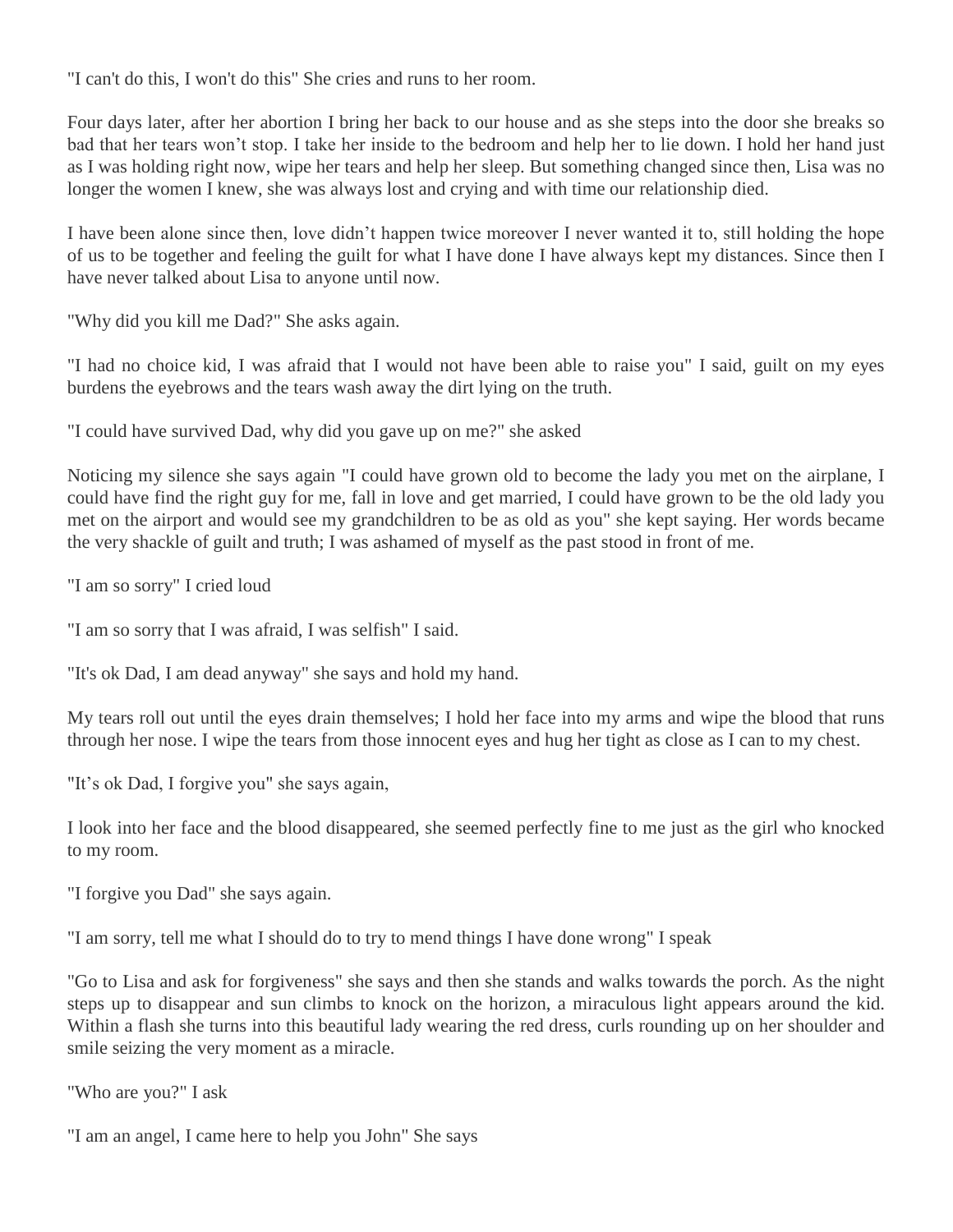"I can't do this, I won't do this" She cries and runs to her room.

Four days later, after her abortion I bring her back to our house and as she steps into the door she breaks so bad that her tears won't stop. I take her inside to the bedroom and help her to lie down. I hold her hand just as I was holding right now, wipe her tears and help her sleep. But something changed since then, Lisa was no longer the women I knew, she was always lost and crying and with time our relationship died.

I have been alone since then, love didn't happen twice moreover I never wanted it to, still holding the hope of us to be together and feeling the guilt for what I have done I have always kept my distances. Since then I have never talked about Lisa to anyone until now.

"Why did you kill me Dad?" She asks again.

"I had no choice kid, I was afraid that I would not have been able to raise you" I said, guilt on my eyes burdens the eyebrows and the tears wash away the dirt lying on the truth.

"I could have survived Dad, why did you gave up on me?" she asked

Noticing my silence she says again "I could have grown old to become the lady you met on the airplane, I could have find the right guy for me, fall in love and get married, I could have grown to be the old lady you met on the airport and would see my grandchildren to be as old as you" she kept saying. Her words became the very shackle of guilt and truth; I was ashamed of myself as the past stood in front of me.

"I am so sorry" I cried loud

"I am so sorry that I was afraid, I was selfish" I said.

"It's ok Dad, I am dead anyway" she says and hold my hand.

My tears roll out until the eyes drain themselves; I hold her face into my arms and wipe the blood that runs through her nose. I wipe the tears from those innocent eyes and hug her tight as close as I can to my chest.

"It's ok Dad, I forgive you" she says again,

I look into her face and the blood disappeared, she seemed perfectly fine to me just as the girl who knocked to my room.

"I forgive you Dad" she says again.

"I am sorry, tell me what I should do to try to mend things I have done wrong" I speak

"Go to Lisa and ask for forgiveness" she says and then she stands and walks towards the porch. As the night steps up to disappear and sun climbs to knock on the horizon, a miraculous light appears around the kid. Within a flash she turns into this beautiful lady wearing the red dress, curls rounding up on her shoulder and smile seizing the very moment as a miracle.

"Who are you?" I ask

"I am an angel, I came here to help you John" She says